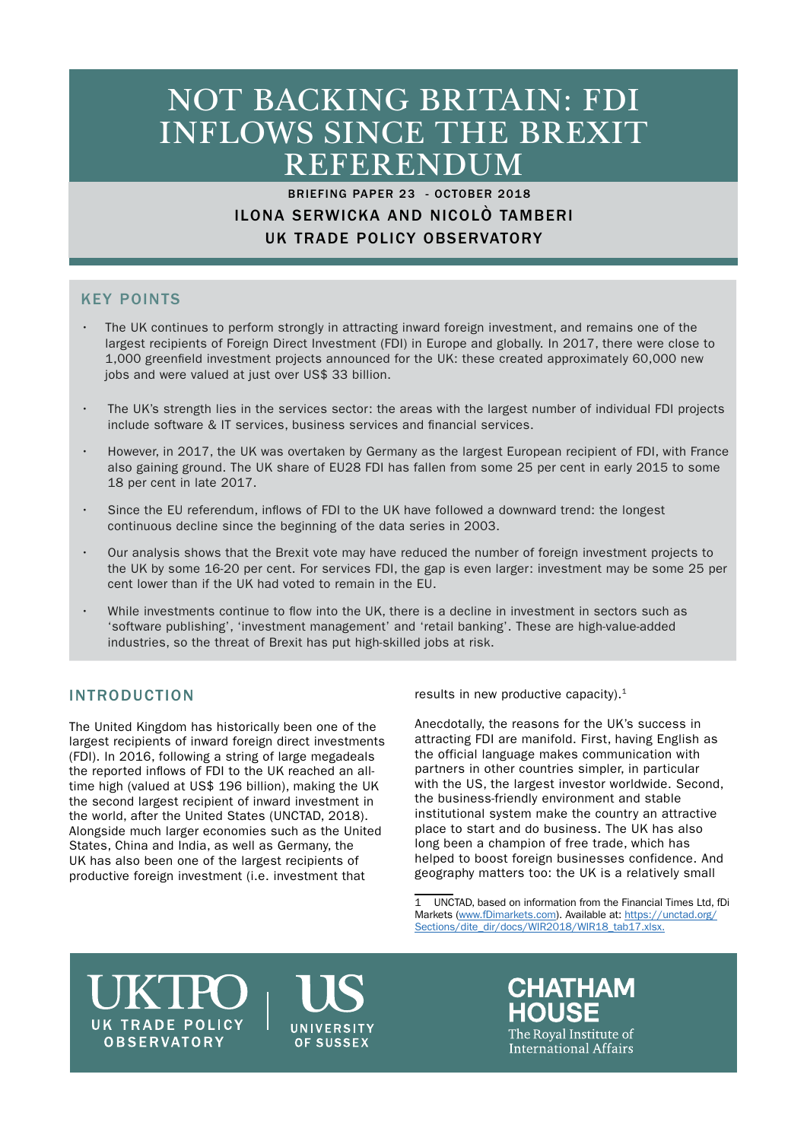# NOT BACKING BRITAIN: FDI INFLOWS SINCE THE BREXIT REFERENDUM

# BRIEFING PAPER 23 - OCTOBER 2018 ILONA SERWICKA AND NICOLÒ TAMBERI UK TRADE POLICY OBSERVATORY

# KEY POINTS

- The UK continues to perform strongly in attracting inward foreign investment, and remains one of the largest recipients of Foreign Direct Investment (FDI) in Europe and globally. In 2017, there were close to 1,000 greenfield investment projects announced for the UK: these created approximately 60,000 new jobs and were valued at just over US\$ 33 billion.
- The UK's strength lies in the services sector: the areas with the largest number of individual FDI projects include software & IT services, business services and financial services.
- However, in 2017, the UK was overtaken by Germany as the largest European recipient of FDI, with France also gaining ground. The UK share of EU28 FDI has fallen from some 25 per cent in early 2015 to some 18 per cent in late 2017.
- Since the EU referendum, inflows of FDI to the UK have followed a downward trend: the longest continuous decline since the beginning of the data series in 2003.
- Our analysis shows that the Brexit vote may have reduced the number of foreign investment projects to the UK by some 16-20 per cent. For services FDI, the gap is even larger: investment may be some 25 per cent lower than if the UK had voted to remain in the EU.
- While investments continue to flow into the UK, there is a decline in investment in sectors such as 'software publishing', 'investment management' and 'retail banking'. These are high-value-added industries, so the threat of Brexit has put high-skilled jobs at risk.

# INTRODUCTION

The United Kingdom has historically been one of the largest recipients of inward foreign direct investments (FDI). In 2016, following a string of large megadeals the reported inflows of FDI to the UK reached an alltime high (valued at US\$ 196 billion), making the UK the second largest recipient of inward investment in the world, after the United States (UNCTAD, 2018). Alongside much larger economies such as the United States, China and India, as well as Germany, the UK has also been one of the largest recipients of productive foreign investment (i.e. investment that

results in new productive capacity). $1$ 

Anecdotally, the reasons for the UK's success in attracting FDI are manifold. First, having English as the official language makes communication with partners in other countries simpler, in particular with the US, the largest investor worldwide. Second, the business-friendly environment and stable institutional system make the country an attractive place to start and do business. The UK has also long been a champion of free trade, which has helped to boost foreign businesses confidence. And geography matters too: the UK is a relatively small

# **UK TRADE POLICY OBSERVATORY**

**UNIVERSITY** OF SUSSEX

**CHATHAM** HOUSE The Roval Institute of International Affairs

<sup>1</sup> UNCTAD, based on information from the Financial Times Ltd, fDi Markets ([www.fDimarkets.com](http://www.fDimarkets.com)). Available at: [https://unctad.org/](https://unctad.org/Sections/dite_dir/docs/WIR2018/WIR18_tab17.xlsx.) [Sections/dite\\_dir/docs/WIR2018/WIR18\\_tab17.xlsx.](https://unctad.org/Sections/dite_dir/docs/WIR2018/WIR18_tab17.xlsx.)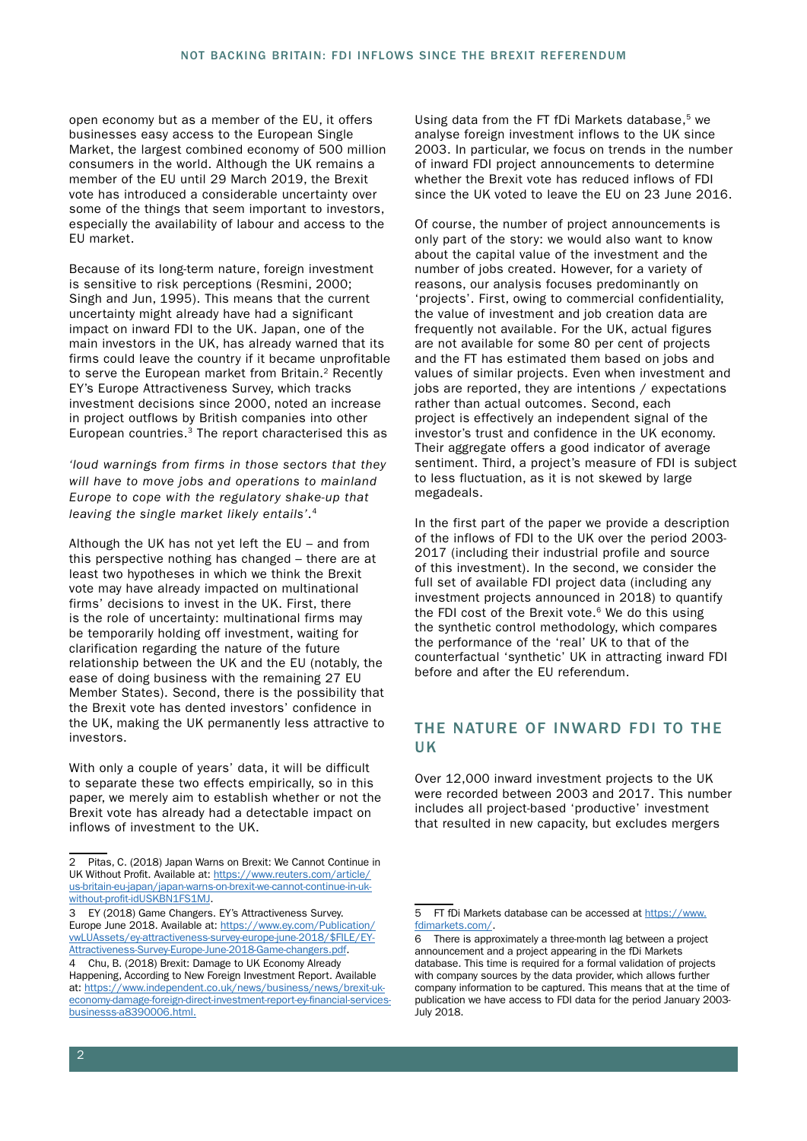open economy but as a member of the EU, it offers businesses easy access to the European Single Market, the largest combined economy of 500 million consumers in the world. Although the UK remains a member of the EU until 29 March 2019, the Brexit vote has introduced a considerable uncertainty over some of the things that seem important to investors, especially the availability of labour and access to the EU market.

Because of its long-term nature, foreign investment is sensitive to risk perceptions (Resmini, 2000; Singh and Jun, 1995). This means that the current uncertainty might already have had a significant impact on inward FDI to the UK. Japan, one of the main investors in the UK, has already warned that its firms could leave the country if it became unprofitable to serve the European market from Britain.<sup>2</sup> Recently EY's Europe Attractiveness Survey, which tracks investment decisions since 2000, noted an increase in project outflows by British companies into other European countries.3 The report characterised this as

*'loud warnings from firms in those sectors that they will have to move jobs and operations to mainland Europe to cope with the regulatory shake-up that leaving the single market likely entails'*.4

Although the UK has not yet left the EU – and from this perspective nothing has changed – there are at least two hypotheses in which we think the Brexit vote may have already impacted on multinational firms' decisions to invest in the UK. First, there is the role of uncertainty: multinational firms may be temporarily holding off investment, waiting for clarification regarding the nature of the future relationship between the UK and the EU (notably, the ease of doing business with the remaining 27 EU Member States). Second, there is the possibility that the Brexit vote has dented investors' confidence in the UK, making the UK permanently less attractive to investors.

With only a couple of years' data, it will be difficult to separate these two effects empirically, so in this paper, we merely aim to establish whether or not the Brexit vote has already had a detectable impact on inflows of investment to the UK.

Using data from the FT fDi Markets database,<sup>5</sup> we analyse foreign investment inflows to the UK since 2003. In particular, we focus on trends in the number of inward FDI project announcements to determine whether the Brexit vote has reduced inflows of FDI since the UK voted to leave the EU on 23 June 2016.

Of course, the number of project announcements is only part of the story: we would also want to know about the capital value of the investment and the number of jobs created. However, for a variety of reasons, our analysis focuses predominantly on 'projects'. First, owing to commercial confidentiality, the value of investment and job creation data are frequently not available. For the UK, actual figures are not available for some 80 per cent of projects and the FT has estimated them based on jobs and values of similar projects. Even when investment and jobs are reported, they are intentions / expectations rather than actual outcomes. Second, each project is effectively an independent signal of the investor's trust and confidence in the UK economy. Their aggregate offers a good indicator of average sentiment. Third, a project's measure of FDI is subject to less fluctuation, as it is not skewed by large megadeals.

In the first part of the paper we provide a description of the inflows of FDI to the UK over the period 2003- 2017 (including their industrial profile and source of this investment). In the second, we consider the full set of available FDI project data (including any investment projects announced in 2018) to quantify the FDI cost of the Brexit vote. $6$  We do this using the synthetic control methodology, which compares the performance of the 'real' UK to that of the counterfactual 'synthetic' UK in attracting inward FDI before and after the EU referendum.

## THE NATURE OF INWARD FDI TO THE UK

Over 12,000 inward investment projects to the UK were recorded between 2003 and 2017. This number includes all project-based 'productive' investment that resulted in new capacity, but excludes mergers

<sup>2</sup> Pitas, C. (2018) Japan Warns on Brexit: We Cannot Continue in UK Without Profit. Available at: [https://www.reuters.com/article/](https://www.reuters.com/article/us-britain-eu-japan/japan-warns-on-brexit-we-cannot-continue-in-uk-without-profit-idUSKBN1FS1MJ) [us-britain-eu-japan/japan-warns-on-brexit-we-cannot-continue-in-uk](https://www.reuters.com/article/us-britain-eu-japan/japan-warns-on-brexit-we-cannot-continue-in-uk-without-profit-idUSKBN1FS1MJ)[without-profit-idUSKBN1FS1MJ](https://www.reuters.com/article/us-britain-eu-japan/japan-warns-on-brexit-we-cannot-continue-in-uk-without-profit-idUSKBN1FS1MJ).

<sup>3</sup> EY (2018) Game Changers. EY's Attractiveness Survey. Europe June 2018. Available at: [https://www.ey.com/Publication/](https://www.ey.com/Publication/vwLUAssets/ey-attractiveness-survey-europe-june-2018/$FILE/EY-Attractiveness-Survey-Europe-June-2018-Game-changers.pdf) [vwLUAssets/ey-attractiveness-survey-europe-june-2018/\\$FILE/EY-](https://www.ey.com/Publication/vwLUAssets/ey-attractiveness-survey-europe-june-2018/$FILE/EY-Attractiveness-Survey-Europe-June-2018-Game-changers.pdf)[Attractiveness-Survey-Europe-June-2018-Game-changers.pdf.](https://www.ey.com/Publication/vwLUAssets/ey-attractiveness-survey-europe-june-2018/$FILE/EY-Attractiveness-Survey-Europe-June-2018-Game-changers.pdf)

<sup>4</sup> Chu, B. (2018) Brexit: Damage to UK Economy Already Happening, According to New Foreign Investment Report. Available at: [https://www.independent.co.uk/news/business/news/brexit-uk](https://www.independent.co.uk/news/business/news/brexit-uk-economy-damage-foreign-direct-investment-report-ey-financial-services-businesss-a8390006.html)[economy-damage-foreign-direct-investment-report-ey-financial-services](https://www.independent.co.uk/news/business/news/brexit-uk-economy-damage-foreign-direct-investment-report-ey-financial-services-businesss-a8390006.html)[businesss-a8390006.html](https://www.independent.co.uk/news/business/news/brexit-uk-economy-damage-foreign-direct-investment-report-ey-financial-services-businesss-a8390006.html).

<sup>5</sup> FT fDi Markets database can be accessed at [https://www.](https://www.fdimarkets.com/) [fdimarkets.com/](https://www.fdimarkets.com/).

<sup>6</sup> There is approximately a three-month lag between a project announcement and a project appearing in the fDi Markets database. This time is required for a formal validation of projects with company sources by the data provider, which allows further company information to be captured. This means that at the time of publication we have access to FDI data for the period January 2003- July 2018.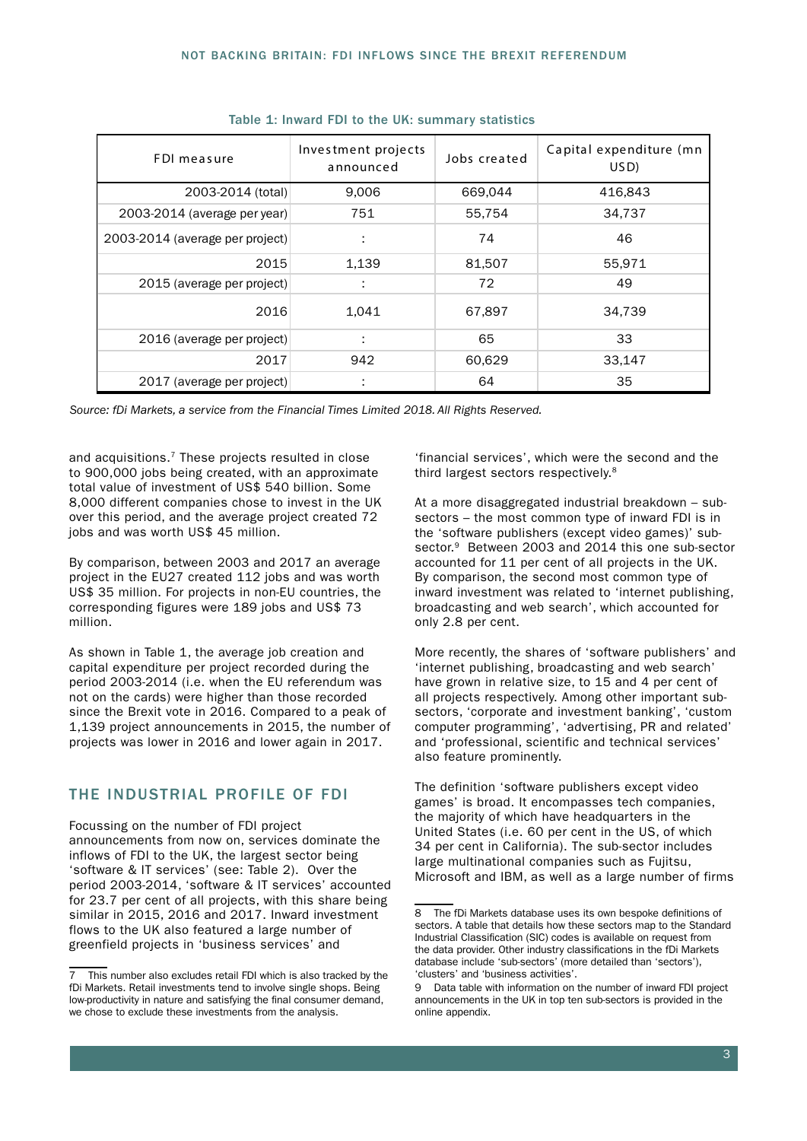| FDI measure                     | Investment projects<br>announced | Jobs created | Capital expenditure (mn<br>USD) |  |
|---------------------------------|----------------------------------|--------------|---------------------------------|--|
| 2003-2014 (total)               | 9,006                            | 669,044      | 416,843                         |  |
| 2003-2014 (average per year)    | 751                              | 55,754       | 34,737                          |  |
| 2003-2014 (average per project) | ÷                                | 74           | 46                              |  |
| 2015                            | 1,139                            | 81,507       | 55,971                          |  |
| 2015 (average per project)      | ÷                                | 72           | 49                              |  |
| 2016                            | 1,041                            | 67,897       | 34,739                          |  |
| 2016 (average per project)      | ÷                                | 65           | 33                              |  |
| 2017                            | 942                              | 60,629       | 33,147                          |  |
| 2017 (average per project)      | ÷                                | 64           | 35                              |  |

|  |  |  |  |  |  | Table 1: Inward FDI to the UK: summary statistics |  |
|--|--|--|--|--|--|---------------------------------------------------|--|
|--|--|--|--|--|--|---------------------------------------------------|--|

*Source: fDi Markets, a service from the Financial Times Limited 2018. All Rights Reserved.*

and acquisitions.<sup>7</sup> These projects resulted in close to 900,000 jobs being created, with an approximate total value of investment of US\$ 540 billion. Some 8,000 different companies chose to invest in the UK over this period, and the average project created 72 jobs and was worth US\$ 45 million.

By comparison, between 2003 and 2017 an average project in the EU27 created 112 jobs and was worth US\$ 35 million. For projects in non-EU countries, the corresponding figures were 189 jobs and US\$ 73 million.

As shown in Table 1, the average job creation and capital expenditure per project recorded during the period 2003-2014 (i.e. when the EU referendum was not on the cards) were higher than those recorded since the Brexit vote in 2016. Compared to a peak of 1,139 project announcements in 2015, the number of projects was lower in 2016 and lower again in 2017.

#### THE INDUSTRIAL PROFILE OF FDI

Focussing on the number of FDI project announcements from now on, services dominate the inflows of FDI to the UK, the largest sector being 'software & IT services' (see: Table 2). Over the period 2003-2014, 'software & IT services' accounted for 23.7 per cent of all projects, with this share being similar in 2015, 2016 and 2017. Inward investment flows to the UK also featured a large number of greenfield projects in 'business services' and

'financial services', which were the second and the third largest sectors respectively.8

At a more disaggregated industrial breakdown – subsectors – the most common type of inward FDI is in the 'software publishers (except video games)' subsector.<sup>9</sup> Between 2003 and 2014 this one sub-sector accounted for 11 per cent of all projects in the UK. By comparison, the second most common type of inward investment was related to 'internet publishing, broadcasting and web search', which accounted for only 2.8 per cent.

More recently, the shares of 'software publishers' and 'internet publishing, broadcasting and web search' have grown in relative size, to 15 and 4 per cent of all projects respectively. Among other important subsectors, 'corporate and investment banking', 'custom computer programming', 'advertising, PR and related' and 'professional, scientific and technical services' also feature prominently.

The definition 'software publishers except video games' is broad. It encompasses tech companies, the majority of which have headquarters in the United States (i.e. 60 per cent in the US, of which 34 per cent in California). The sub-sector includes large multinational companies such as Fujitsu, Microsoft and IBM, as well as a large number of firms

<sup>7</sup> This number also excludes retail FDI which is also tracked by the fDi Markets. Retail investments tend to involve single shops. Being low-productivity in nature and satisfying the final consumer demand, we chose to exclude these investments from the analysis.

<sup>8</sup> The fDi Markets database uses its own bespoke definitions of sectors. A table that details how these sectors map to the Standard Industrial Classification (SIC) codes is available on request from the data provider. Other industry classifications in the fDi Markets database include 'sub-sectors' (more detailed than 'sectors'), 'clusters' and 'business activities'.

<sup>9</sup> Data table with information on the number of inward FDI project announcements in the UK in top ten sub-sectors is provided in the online appendix.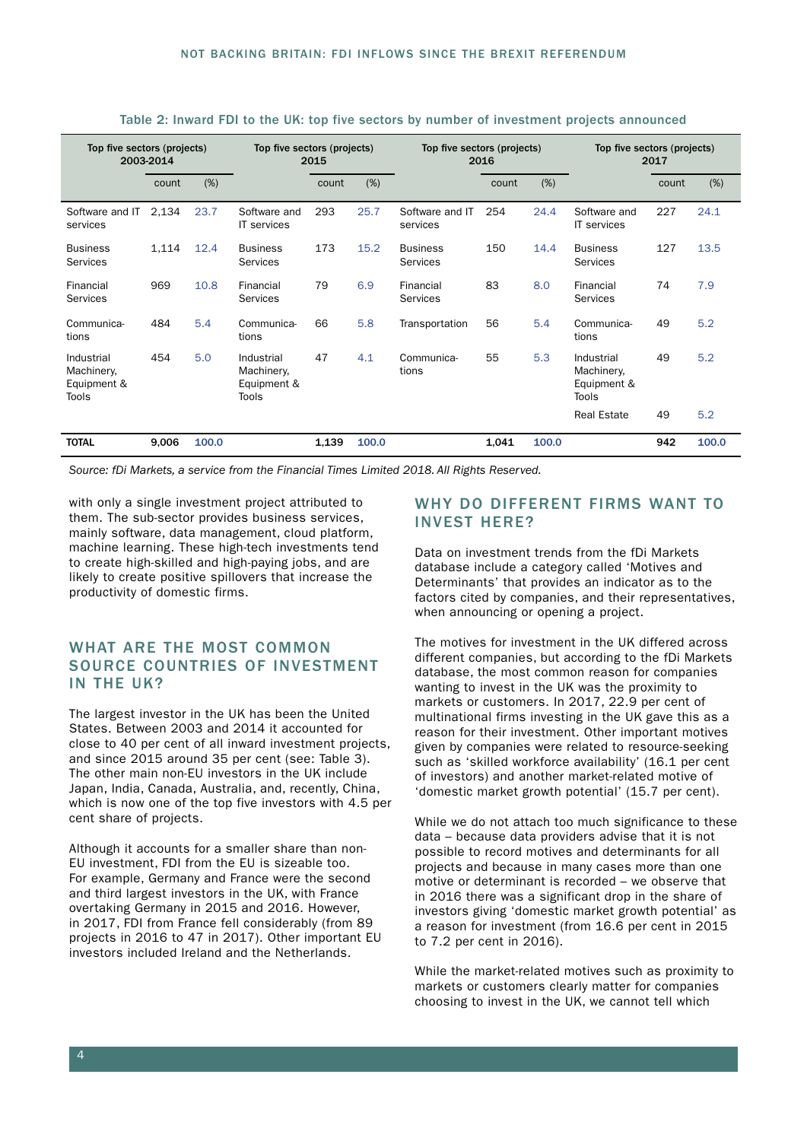| Top five sectors (projects)<br>2003-2014         |       | Top five sectors (projects)<br>2015 |                                                  |       | Top five sectors (projects)<br>2016 |                                    |       | Top five sectors (projects)<br>2017 |                                                  |       |       |
|--------------------------------------------------|-------|-------------------------------------|--------------------------------------------------|-------|-------------------------------------|------------------------------------|-------|-------------------------------------|--------------------------------------------------|-------|-------|
|                                                  | count | (%)                                 |                                                  | count | (%)                                 |                                    | count | (%)                                 |                                                  | count | (%)   |
| Software and IT<br>services                      | 2,134 | 23.7                                | Software and<br><b>IT</b> services               | 293   | 25.7                                | Software and IT<br>services        | 254   | 24.4                                | Software and<br><b>IT</b> services               | 227   | 24.1  |
| <b>Business</b><br><b>Services</b>               | 1,114 | 12.4                                | <b>Business</b><br><b>Services</b>               | 173   | 15.2                                | <b>Business</b><br><b>Services</b> | 150   | 14.4                                | <b>Business</b><br><b>Services</b>               | 127   | 13.5  |
| Financial<br><b>Services</b>                     | 969   | 10.8                                | Financial<br>Services                            | 79    | 6.9                                 | Financial<br><b>Services</b>       | 83    | 8.0                                 | Financial<br>Services                            | 74    | 7.9   |
| Communica-<br>tions                              | 484   | 5.4                                 | Communica-<br>tions                              | 66    | 5.8                                 | Transportation                     | 56    | 5.4                                 | Communica-<br>tions                              | 49    | 5.2   |
| Industrial<br>Machinery,<br>Equipment &<br>Tools | 454   | 5.0                                 | Industrial<br>Machinery,<br>Equipment &<br>Tools | 47    | 4.1                                 | Communica-<br>tions                | 55    | 5.3                                 | Industrial<br>Machinery,<br>Equipment &<br>Tools | 49    | 5.2   |
|                                                  |       |                                     |                                                  |       |                                     |                                    |       |                                     | <b>Real Estate</b>                               | 49    | 5.2   |
| <b>TOTAL</b>                                     | 9,006 | 100.0                               |                                                  | 1,139 | 100.0                               |                                    | 1,041 | 100.0                               |                                                  | 942   | 100.0 |

Table 2: Inward FDI to the UK: top five sectors by number of investment projects announced

*Source: fDi Markets, a service from the Financial Times Limited 2018. All Rights Reserved.*

with only a single investment project attributed to them. The sub-sector provides business services, mainly software, data management, cloud platform, machine learning. These high-tech investments tend to create high-skilled and high-paying jobs, and are likely to create positive spillovers that increase the productivity of domestic firms.

#### WHAT ARE THE MOST COMMON SOURCE COUNTRIES OF INVESTMENT IN THE UK?

The largest investor in the UK has been the United States. Between 2003 and 2014 it accounted for close to 40 per cent of all inward investment projects, and since 2015 around 35 per cent (see: Table 3). The other main non-EU investors in the UK include Japan, India, Canada, Australia, and, recently, China, which is now one of the top five investors with 4.5 per cent share of projects.

Although it accounts for a smaller share than non-EU investment, FDI from the EU is sizeable too. For example, Germany and France were the second and third largest investors in the UK, with France overtaking Germany in 2015 and 2016. However, in 2017, FDI from France fell considerably (from 89 projects in 2016 to 47 in 2017). Other important EU investors included Ireland and the Netherlands.

#### WHY DO DIFFERENT FIRMS WANT TO INVEST HERE?

Data on investment trends from the fDi Markets database include a category called 'Motives and Determinants' that provides an indicator as to the factors cited by companies, and their representatives, when announcing or opening a project.

The motives for investment in the UK differed across different companies, but according to the fDi Markets database, the most common reason for companies wanting to invest in the UK was the proximity to markets or customers. In 2017, 22.9 per cent of multinational firms investing in the UK gave this as a reason for their investment. Other important motives given by companies were related to resource-seeking such as 'skilled workforce availability' (16.1 per cent of investors) and another market-related motive of 'domestic market growth potential' (15.7 per cent).

While we do not attach too much significance to these data – because data providers advise that it is not possible to record motives and determinants for all projects and because in many cases more than one motive or determinant is recorded – we observe that in 2016 there was a significant drop in the share of investors giving 'domestic market growth potential' as a reason for investment (from 16.6 per cent in 2015 to 7.2 per cent in 2016).

While the market-related motives such as proximity to markets or customers clearly matter for companies choosing to invest in the UK, we cannot tell which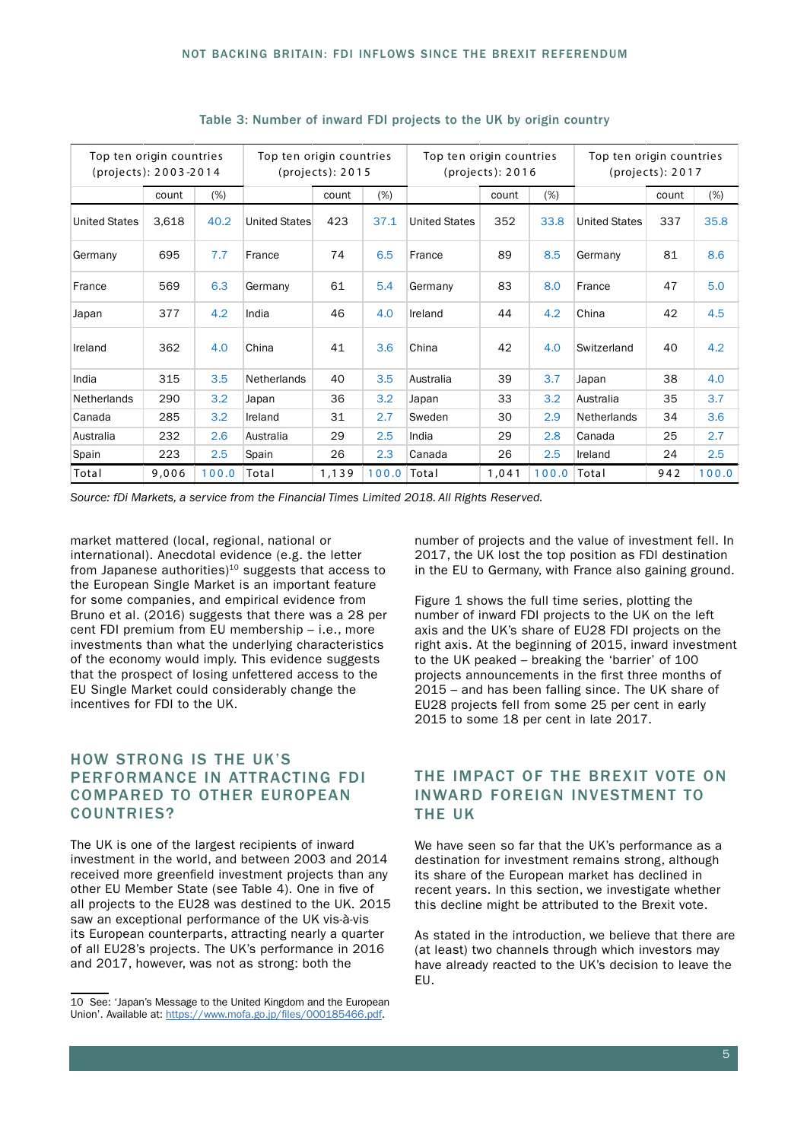| Top ten origin countries<br>(projects): 2003-2014 |       | Top ten origin countries<br>$ી$ (projects): $2015$ |                    |       | Top ten origin countries<br>$ી$ rojects $)$ : 2016 |                      |       | Top ten origin countries<br>$ી$ (projects): $2017$ |                      |       |       |
|---------------------------------------------------|-------|----------------------------------------------------|--------------------|-------|----------------------------------------------------|----------------------|-------|----------------------------------------------------|----------------------|-------|-------|
|                                                   | count | (%)                                                |                    | count | $(\%)$                                             |                      | count | (%)                                                |                      | count | (%)   |
| <b>United States</b>                              | 3,618 | 40.2                                               | United States      | 423   | 37.1                                               | <b>United States</b> | 352   | 33.8                                               | <b>United States</b> | 337   | 35.8  |
| Germany                                           | 695   | 7.7                                                | France             | 74    | 6.5                                                | France               | 89    | 8.5                                                | Germany              | 81    | 8.6   |
| France                                            | 569   | 6.3                                                | Germany            | 61    | 5.4                                                | Germany              | 83    | 8.0                                                | France               | 47    | 5.0   |
| Japan                                             | 377   | 4.2                                                | India              | 46    | 4.0                                                | Ireland              | 44    | 4.2                                                | China                | 42    | 4.5   |
| Ireland                                           | 362   | 4.0                                                | China              | 41    | 3.6                                                | China                | 42    | 4.0                                                | Switzerland          | 40    | 4.2   |
| India                                             | 315   | 3.5                                                | <b>Netherlands</b> | 40    | 3.5                                                | Australia            | 39    | 3.7                                                | Japan                | 38    | 4.0   |
| <b>Netherlands</b>                                | 290   | 3.2                                                | Japan              | 36    | 3.2                                                | Japan                | 33    | 3.2                                                | Australia            | 35    | 3.7   |
| Canada                                            | 285   | 3.2                                                | Ireland            | 31    | 2.7                                                | Sweden               | 30    | 2.9                                                | <b>Netherlands</b>   | 34    | 3.6   |
| Australia                                         | 232   | 2.6                                                | Australia          | 29    | 2.5                                                | India                | 29    | 2.8                                                | Canada               | 25    | 2.7   |
| Spain                                             | 223   | 2.5                                                | Spain              | 26    | 2.3                                                | Canada               | 26    | 2.5                                                | Ireland              | 24    | 2.5   |
| Total                                             | 9,006 | 100.0                                              | Total              | 1,139 | 100.0 Total                                        |                      | 1,041 | 100.0                                              | Total                | 942   | 100.0 |

#### Table 3: Number of inward FDI projects to the UK by origin country

*Source: fDi Markets, a service from the Financial Times Limited 2018. All Rights Reserved.*

market mattered (local, regional, national or international). Anecdotal evidence (e.g. the letter from Japanese authorities) $10$  suggests that access to the European Single Market is an important feature for some companies, and empirical evidence from Bruno et al. (2016) suggests that there was a 28 per cent FDI premium from EU membership – i.e., more investments than what the underlying characteristics of the economy would imply. This evidence suggests that the prospect of losing unfettered access to the EU Single Market could considerably change the incentives for FDI to the UK.

#### HOW STRONG IS THE UK'S PERFORMANCE IN ATTRACTING FDI COMPARED TO OTHER EUROPEAN COUNTRIES?

The UK is one of the largest recipients of inward investment in the world, and between 2003 and 2014 received more greenfield investment projects than any other EU Member State (see Table 4). One in five of all projects to the EU28 was destined to the UK. 2015 saw an exceptional performance of the UK vis-à-vis its European counterparts, attracting nearly a quarter of all EU28's projects. The UK's performance in 2016 and 2017, however, was not as strong: both the

number of projects and the value of investment fell. In 2017, the UK lost the top position as FDI destination in the EU to Germany, with France also gaining ground.

Figure 1 shows the full time series, plotting the number of inward FDI projects to the UK on the left axis and the UK's share of EU28 FDI projects on the right axis. At the beginning of 2015, inward investment to the UK peaked – breaking the 'barrier' of 100 projects announcements in the first three months of 2015 – and has been falling since. The UK share of EU28 projects fell from some 25 per cent in early 2015 to some 18 per cent in late 2017.

# THE IMPACT OF THE BREXIT VOTE ON INWARD FOREIGN INVESTMENT TO THE UK

We have seen so far that the UK's performance as a destination for investment remains strong, although its share of the European market has declined in recent years. In this section, we investigate whether this decline might be attributed to the Brexit vote.

As stated in the introduction, we believe that there are (at least) two channels through which investors may have already reacted to the UK's decision to leave the EU.

<sup>10</sup> See: 'Japan's Message to the United Kingdom and the European Union'. Available at: [https://www.mofa.go.jp/files/000185466.pdf.](https://www.mofa.go.jp/files/000185466.pdf)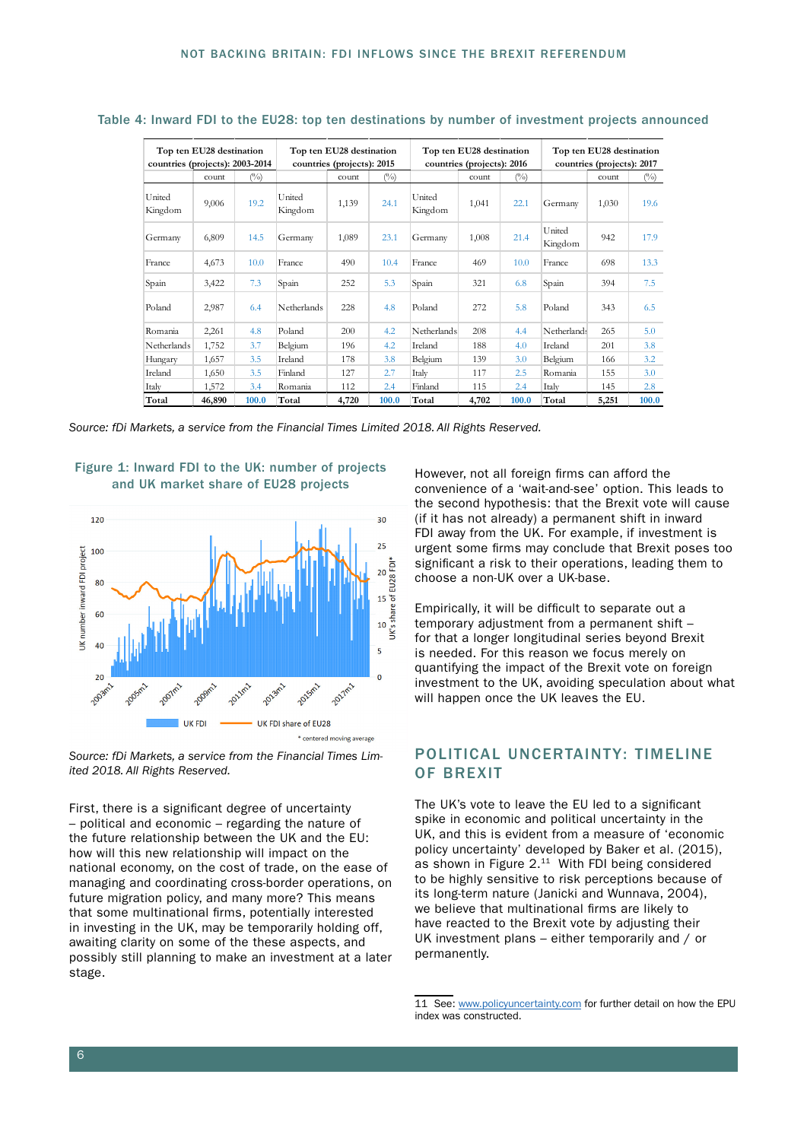| Top ten EU28 destination<br>countries (projects): 2003-2014 |        | Top ten EU28 destination<br>countries (projects): 2015 |                    |       | Top ten EU28 destination<br>countries (projects): 2016 |                    |       | Top ten EU28 destination<br>countries (projects): 2017 |                   |       |               |
|-------------------------------------------------------------|--------|--------------------------------------------------------|--------------------|-------|--------------------------------------------------------|--------------------|-------|--------------------------------------------------------|-------------------|-------|---------------|
|                                                             | count  | (°/°)                                                  |                    | count | (°/°)                                                  |                    | count | $($ %)                                                 |                   | count | $(^{0}/_{0})$ |
| United<br>Kingdom                                           | 9,006  | 19.2                                                   | United<br>Kingdom  | 1,139 | 24.1                                                   | United<br>Kingdom  | 1,041 | 22.1                                                   | Germany           | 1,030 | 19.6          |
| Germany                                                     | 6,809  | 14.5                                                   | Germany            | 1,089 | 23.1                                                   | Germany            | 1,008 | 21.4                                                   | United<br>Kingdom | 942   | 17.9          |
| France                                                      | 4,673  | 10.0                                                   | France             | 490   | 10.4                                                   | France             | 469   | 10.0                                                   | France            | 698   | 13.3          |
| Spain                                                       | 3,422  | 7.3                                                    | Spain              | 252   | 5.3                                                    | Spain              | 321   | 6.8                                                    | Spain             | 394   | 7.5           |
| Poland                                                      | 2,987  | 6.4                                                    | <b>Netherlands</b> | 228   | 4.8                                                    | Poland             | 272   | 5.8                                                    | Poland            | 343   | 6.5           |
| Romania                                                     | 2,261  | 4.8                                                    | Poland             | 200   | 4.2                                                    | <b>Netherlands</b> | 208   | 4.4                                                    | Netherlands       | 265   | 5.0           |
| <b>Netherlands</b>                                          | 1,752  | 3.7                                                    | Belgium            | 196   | 4.2                                                    | Ireland            | 188   | 4.0                                                    | Ireland           | 201   | 3.8           |
| Hungary                                                     | 1,657  | 3.5                                                    | Ireland            | 178   | 3.8                                                    | Belgium            | 139   | 3.0                                                    | Belgium           | 166   | 3.2           |
| Ireland                                                     | 1,650  | 3.5                                                    | Finland            | 127   | 2.7                                                    | Italy              | 117   | 2.5                                                    | Romania           | 155   | 3.0           |
| Italy                                                       | 1,572  | 3.4                                                    | Romania            | 112   | 2.4                                                    | Finland            | 115   | 2.4                                                    | Italy             | 145   | 2.8           |
| Total                                                       | 46,890 | 100.0                                                  | Total              | 4,720 | 100.0                                                  | Total              | 4,702 | 100.0                                                  | Total             | 5,251 | 100.0         |

#### Table 4: Inward FDI to the EU28: top ten destinations by number of investment projects announced

*Source: fDi Markets, a service from the Financial Times Limited 2018. All Rights Reserved.*





*Source: fDi Markets, a service from the Financial Times Limited 2018. All Rights Reserved.*

First, there is a significant degree of uncertainty – political and economic – regarding the nature of the future relationship between the UK and the EU: how will this new relationship will impact on the national economy, on the cost of trade, on the ease of managing and coordinating cross-border operations, on future migration policy, and many more? This means that some multinational firms, potentially interested in investing in the UK, may be temporarily holding off, awaiting clarity on some of the these aspects, and possibly still planning to make an investment at a later stage.

However, not all foreign firms can afford the convenience of a 'wait-and-see' option. This leads to the second hypothesis: that the Brexit vote will cause (if it has not already) a permanent shift in inward FDI away from the UK. For example, if investment is urgent some firms may conclude that Brexit poses too significant a risk to their operations, leading them to choose a non-UK over a UK-base.

Empirically, it will be difficult to separate out a temporary adjustment from a permanent shift – for that a longer longitudinal series beyond Brexit is needed. For this reason we focus merely on quantifying the impact of the Brexit vote on foreign investment to the UK, avoiding speculation about what will happen once the UK leaves the EU.

#### POLITICAL UNCERTAINTY: TIMELINE OF BREXIT

The UK's vote to leave the EU led to a significant spike in economic and political uncertainty in the UK, and this is evident from a measure of 'economic policy uncertainty' developed by Baker et al. (2015), as shown in Figure 2.11 With FDI being considered to be highly sensitive to risk perceptions because of its long-term nature (Janicki and Wunnava, 2004), we believe that multinational firms are likely to have reacted to the Brexit vote by adjusting their UK investment plans – either temporarily and / or permanently.

<sup>11</sup> See: [www.policyuncertainty.com](http://www.policyuncertainty.com) for further detail on how the EPU index was constructed.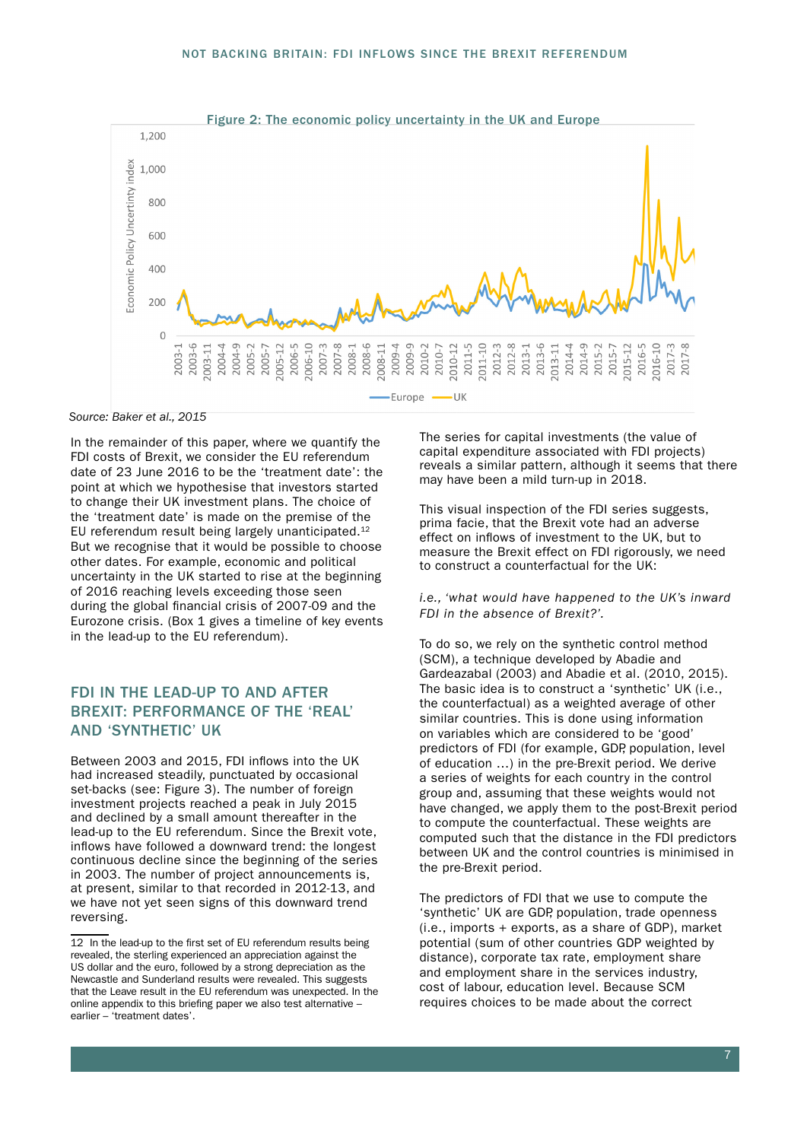

*Source: Baker et al., 2015*

In the remainder of this paper, where we quantify the FDI costs of Brexit, we consider the EU referendum date of 23 June 2016 to be the 'treatment date': the point at which we hypothesise that investors started to change their UK investment plans. The choice of the 'treatment date' is made on the premise of the EU referendum result being largely unanticipated.<sup>12</sup> But we recognise that it would be possible to choose other dates. For example, economic and political uncertainty in the UK started to rise at the beginning of 2016 reaching levels exceeding those seen during the global financial crisis of 2007-09 and the Eurozone crisis. (Box 1 gives a timeline of key events in the lead-up to the EU referendum).

# FDI IN THE LEAD-UP TO AND AFTER BREXIT: PERFORMANCE OF THE 'REAL' AND 'SYNTHETIC' UK

Between 2003 and 2015, FDI inflows into the UK had increased steadily, punctuated by occasional set-backs (see: Figure 3). The number of foreign investment projects reached a peak in July 2015 and declined by a small amount thereafter in the lead-up to the EU referendum. Since the Brexit vote, inflows have followed a downward trend: the longest continuous decline since the beginning of the series in 2003. The number of project announcements is, at present, similar to that recorded in 2012-13, and we have not yet seen signs of this downward trend reversing.

The series for capital investments (the value of capital expenditure associated with FDI projects) reveals a similar pattern, although it seems that there may have been a mild turn-up in 2018.

This visual inspection of the FDI series suggests, prima facie, that the Brexit vote had an adverse effect on inflows of investment to the UK, but to measure the Brexit effect on FDI rigorously, we need to construct a counterfactual for the UK:

*i.e., 'what would have happened to the UK's inward FDI in the absence of Brexit?'.*

To do so, we rely on the synthetic control method (SCM), a technique developed by Abadie and Gardeazabal (2003) and Abadie et al. (2010, 2015). The basic idea is to construct a 'synthetic' UK (i.e., the counterfactual) as a weighted average of other similar countries. This is done using information on variables which are considered to be 'good' predictors of FDI (for example, GDP, population, level of education …) in the pre-Brexit period. We derive a series of weights for each country in the control group and, assuming that these weights would not have changed, we apply them to the post-Brexit period to compute the counterfactual. These weights are computed such that the distance in the FDI predictors between UK and the control countries is minimised in the pre-Brexit period.

The predictors of FDI that we use to compute the 'synthetic' UK are GDP, population, trade openness (i.e., imports + exports, as a share of GDP), market potential (sum of other countries GDP weighted by distance), corporate tax rate, employment share and employment share in the services industry, cost of labour, education level. Because SCM requires choices to be made about the correct

<sup>12</sup> In the lead-up to the first set of EU referendum results being revealed, the sterling experienced an appreciation against the US dollar and the euro, followed by a strong depreciation as the Newcastle and Sunderland results were revealed. This suggests that the Leave result in the EU referendum was unexpected. In the online appendix to this briefing paper we also test alternative – earlier – 'treatment dates'.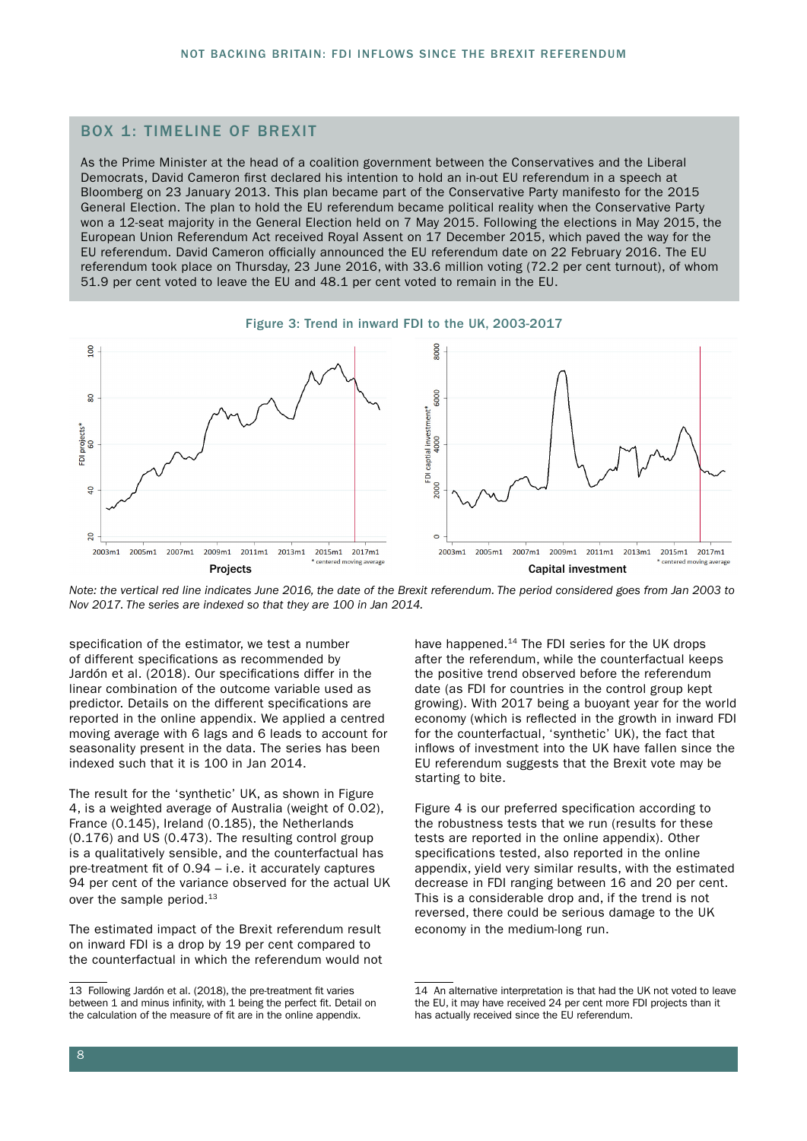#### BOX 1: TIMELINE OF BREXIT

As the Prime Minister at the head of a coalition government between the Conservatives and the Liberal Democrats, David Cameron first declared his intention to hold an in-out EU referendum in a speech at Bloomberg on 23 January 2013. This plan became part of the Conservative Party manifesto for the 2015 General Election. The plan to hold the EU referendum became political reality when the Conservative Party won a 12-seat majority in the General Election held on 7 May 2015. Following the elections in May 2015, the European Union Referendum Act received Royal Assent on 17 December 2015, which paved the way for the EU referendum. David Cameron officially announced the EU referendum date on 22 February 2016. The EU referendum took place on Thursday, 23 June 2016, with 33.6 million voting (72.2 per cent turnout), of whom 51.9 per cent voted to leave the EU and 48.1 per cent voted to remain in the EU.





*Note: the vertical red line indicates June 2016, the date of the Brexit referendum. The period considered goes from Jan 2003 to Nov 2017. The series are indexed so that they are 100 in Jan 2014.*

specification of the estimator, we test a number of different specifications as recommended by Jardón et al. (2018). Our specifications differ in the linear combination of the outcome variable used as predictor. Details on the different specifications are reported in the online appendix. We applied a centred moving average with 6 lags and 6 leads to account for seasonality present in the data. The series has been indexed such that it is 100 in Jan 2014.

The result for the 'synthetic' UK, as shown in Figure 4, is a weighted average of Australia (weight of 0.02), France (0.145), Ireland (0.185), the Netherlands (0.176) and US (0.473). The resulting control group is a qualitatively sensible, and the counterfactual has pre-treatment fit of 0.94 – i.e. it accurately captures 94 per cent of the variance observed for the actual UK over the sample period.13

The estimated impact of the Brexit referendum result on inward FDI is a drop by 19 per cent compared to the counterfactual in which the referendum would not have happened.<sup>14</sup> The FDI series for the UK drops after the referendum, while the counterfactual keeps the positive trend observed before the referendum date (as FDI for countries in the control group kept growing). With 2017 being a buoyant year for the world economy (which is reflected in the growth in inward FDI for the counterfactual, 'synthetic' UK), the fact that inflows of investment into the UK have fallen since the EU referendum suggests that the Brexit vote may be starting to bite.

Figure 4 is our preferred specification according to the robustness tests that we run (results for these tests are reported in the online appendix). Other specifications tested, also reported in the online appendix, yield very similar results, with the estimated decrease in FDI ranging between 16 and 20 per cent. This is a considerable drop and, if the trend is not reversed, there could be serious damage to the UK economy in the medium-long run.

<sup>13</sup> Following Jardón et al. (2018), the pre-treatment fit varies between 1 and minus infinity, with 1 being the perfect fit. Detail on the calculation of the measure of fit are in the online appendix.

<sup>14</sup> An alternative interpretation is that had the UK not voted to leave the EU, it may have received 24 per cent more FDI projects than it has actually received since the EU referendum.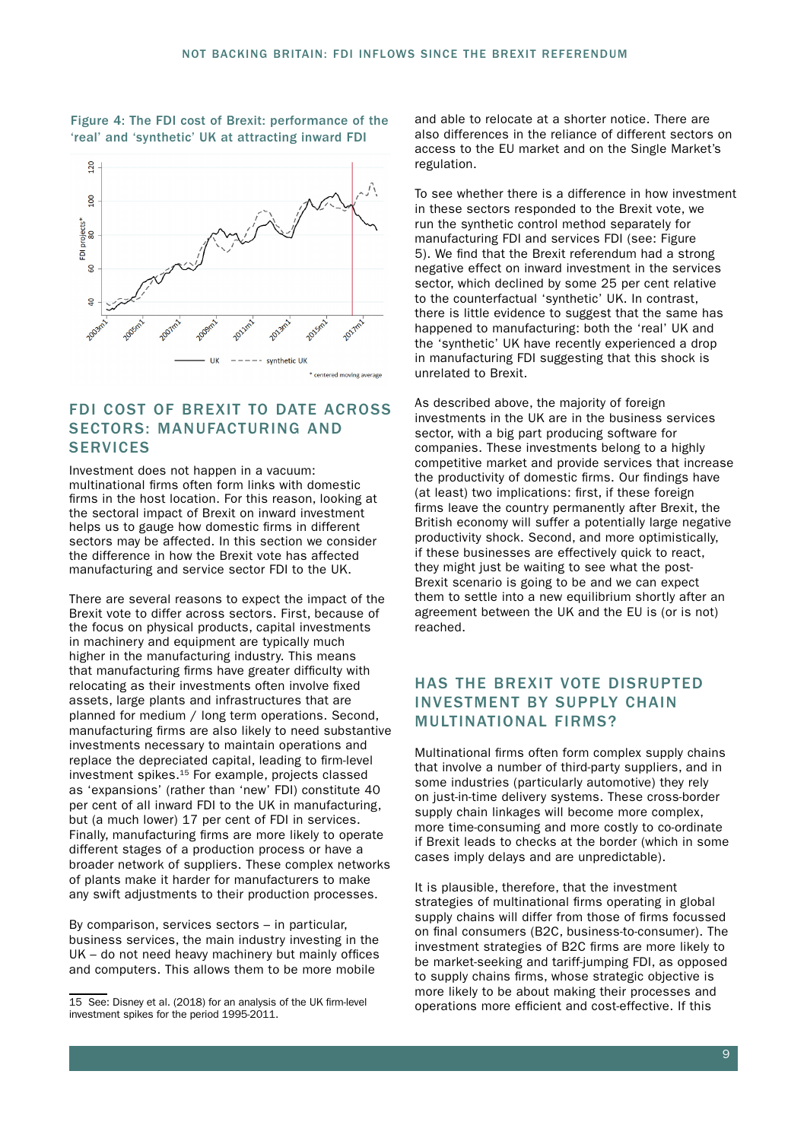#### Figure 4: The FDI cost of Brexit: performance of the 'real' and 'synthetic' UK at attracting inward FDI



#### FDI COST OF BREXIT TO DATE ACROSS SECTORS: MANUFACTURING AND **SERVICES**

Investment does not happen in a vacuum: multinational firms often form links with domestic firms in the host location. For this reason, looking at the sectoral impact of Brexit on inward investment helps us to gauge how domestic firms in different sectors may be affected. In this section we consider the difference in how the Brexit vote has affected manufacturing and service sector FDI to the UK.

There are several reasons to expect the impact of the Brexit vote to differ across sectors. First, because of the focus on physical products, capital investments in machinery and equipment are typically much higher in the manufacturing industry. This means that manufacturing firms have greater difficulty with relocating as their investments often involve fixed assets, large plants and infrastructures that are planned for medium / long term operations. Second, manufacturing firms are also likely to need substantive investments necessary to maintain operations and replace the depreciated capital, leading to firm-level investment spikes.15 For example, projects classed as 'expansions' (rather than 'new' FDI) constitute 40 per cent of all inward FDI to the UK in manufacturing, but (a much lower) 17 per cent of FDI in services. Finally, manufacturing firms are more likely to operate different stages of a production process or have a broader network of suppliers. These complex networks of plants make it harder for manufacturers to make any swift adjustments to their production processes.

By comparison, services sectors – in particular, business services, the main industry investing in the UK – do not need heavy machinery but mainly offices and computers. This allows them to be more mobile

and able to relocate at a shorter notice. There are also differences in the reliance of different sectors on access to the EU market and on the Single Market's regulation.

To see whether there is a difference in how investment in these sectors responded to the Brexit vote, we run the synthetic control method separately for manufacturing FDI and services FDI (see: Figure 5). We find that the Brexit referendum had a strong negative effect on inward investment in the services sector, which declined by some 25 per cent relative to the counterfactual 'synthetic' UK. In contrast, there is little evidence to suggest that the same has happened to manufacturing: both the 'real' UK and the 'synthetic' UK have recently experienced a drop in manufacturing FDI suggesting that this shock is unrelated to Brexit.

As described above, the majority of foreign investments in the UK are in the business services sector, with a big part producing software for companies. These investments belong to a highly competitive market and provide services that increase the productivity of domestic firms. Our findings have (at least) two implications: first, if these foreign firms leave the country permanently after Brexit, the British economy will suffer a potentially large negative productivity shock. Second, and more optimistically, if these businesses are effectively quick to react, they might just be waiting to see what the post-Brexit scenario is going to be and we can expect them to settle into a new equilibrium shortly after an agreement between the UK and the EU is (or is not) reached.

# HAS THE BREXIT VOTE DISRUPTED INVESTMENT BY SUPPLY CHAIN MULTINATIONAL FIRMS?

Multinational firms often form complex supply chains that involve a number of third-party suppliers, and in some industries (particularly automotive) they rely on just-in-time delivery systems. These cross-border supply chain linkages will become more complex, more time-consuming and more costly to co-ordinate if Brexit leads to checks at the border (which in some cases imply delays and are unpredictable).

It is plausible, therefore, that the investment strategies of multinational firms operating in global supply chains will differ from those of firms focussed on final consumers (B2C, business-to-consumer). The investment strategies of B2C firms are more likely to be market-seeking and tariff-jumping FDI, as opposed to supply chains firms, whose strategic objective is more likely to be about making their processes and operations more efficient and cost-effective. If this

<sup>15</sup> See: Disney et al. (2018) for an analysis of the UK firm-level investment spikes for the period 1995-2011.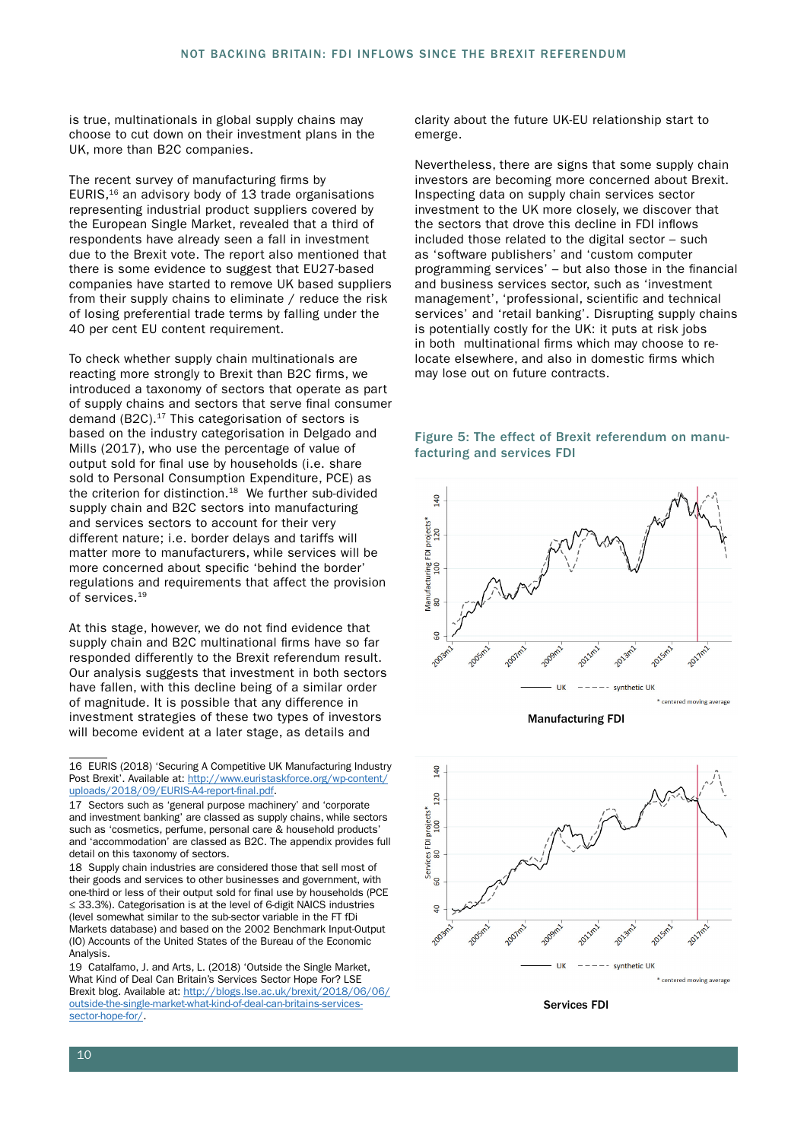is true, multinationals in global supply chains may choose to cut down on their investment plans in the UK, more than B2C companies.

The recent survey of manufacturing firms by EURIS, $16$  an advisory body of 13 trade organisations representing industrial product suppliers covered by the European Single Market, revealed that a third of respondents have already seen a fall in investment due to the Brexit vote. The report also mentioned that there is some evidence to suggest that EU27-based companies have started to remove UK based suppliers from their supply chains to eliminate / reduce the risk of losing preferential trade terms by falling under the 40 per cent EU content requirement.

To check whether supply chain multinationals are reacting more strongly to Brexit than B2C firms, we introduced a taxonomy of sectors that operate as part of supply chains and sectors that serve final consumer demand (B2C).<sup>17</sup> This categorisation of sectors is based on the industry categorisation in Delgado and Mills (2017), who use the percentage of value of output sold for final use by households (i.e. share sold to Personal Consumption Expenditure, PCE) as the criterion for distinction.<sup>18</sup> We further sub-divided supply chain and B2C sectors into manufacturing and services sectors to account for their very different nature; i.e. border delays and tariffs will matter more to manufacturers, while services will be more concerned about specific 'behind the border' regulations and requirements that affect the provision of services.19

At this stage, however, we do not find evidence that supply chain and B2C multinational firms have so far responded differently to the Brexit referendum result. Our analysis suggests that investment in both sectors have fallen, with this decline being of a similar order of magnitude. It is possible that any difference in investment strategies of these two types of investors will become evident at a later stage, as details and

18 Supply chain industries are considered those that sell most of their goods and services to other businesses and government, with one-third or less of their output sold for final use by households (PCE ≤ 33.3%). Categorisation is at the level of 6-digit NAICS industries (level somewhat similar to the sub-sector variable in the FT fDi Markets database) and based on the 2002 Benchmark Input-Output (IO) Accounts of the United States of the Bureau of the Economic Analysis.

19 Catalfamo, J. and Arts, L. (2018) 'Outside the Single Market, What Kind of Deal Can Britain's Services Sector Hope For? LSE Brexit blog. Available at: [http://blogs.lse.ac.uk/brexit/2018/06/06/](http://blogs.lse.ac.uk/brexit/2018/06/06/outside-the-single-market-what-kind-of-deal-can-britains-services-sector-hope-for/) [outside-the-single-market-what-kind-of-deal-can-britains-services](http://blogs.lse.ac.uk/brexit/2018/06/06/outside-the-single-market-what-kind-of-deal-can-britains-services-sector-hope-for/)[sector-hope-for/.](http://blogs.lse.ac.uk/brexit/2018/06/06/outside-the-single-market-what-kind-of-deal-can-britains-services-sector-hope-for/)

clarity about the future UK-EU relationship start to emerge.

Nevertheless, there are signs that some supply chain investors are becoming more concerned about Brexit. Inspecting data on supply chain services sector investment to the UK more closely, we discover that the sectors that drove this decline in FDI inflows included those related to the digital sector – such as 'software publishers' and 'custom computer programming services' – but also those in the financial and business services sector, such as 'investment management', 'professional, scientific and technical services' and 'retail banking'. Disrupting supply chains is potentially costly for the UK: it puts at risk jobs in both multinational firms which may choose to relocate elsewhere, and also in domestic firms which may lose out on future contracts.





Manufacturing FDI



Services FDI

<sup>16</sup> EURIS (2018) 'Securing A Competitive UK Manufacturing Industry Post Brexit'. Available at: [http://www.euristaskforce.org/wp-content/](http://www.euristaskforce.org/wp-content/uploads/2018/09/EURIS-A4-report-final.pdf) [uploads/2018/09/EURIS-A4-report-final.pdf.](http://www.euristaskforce.org/wp-content/uploads/2018/09/EURIS-A4-report-final.pdf)

<sup>17</sup> Sectors such as 'general purpose machinery' and 'corporate and investment banking' are classed as supply chains, while sectors such as 'cosmetics, perfume, personal care & household products' and 'accommodation' are classed as B2C. The appendix provides full detail on this taxonomy of sectors.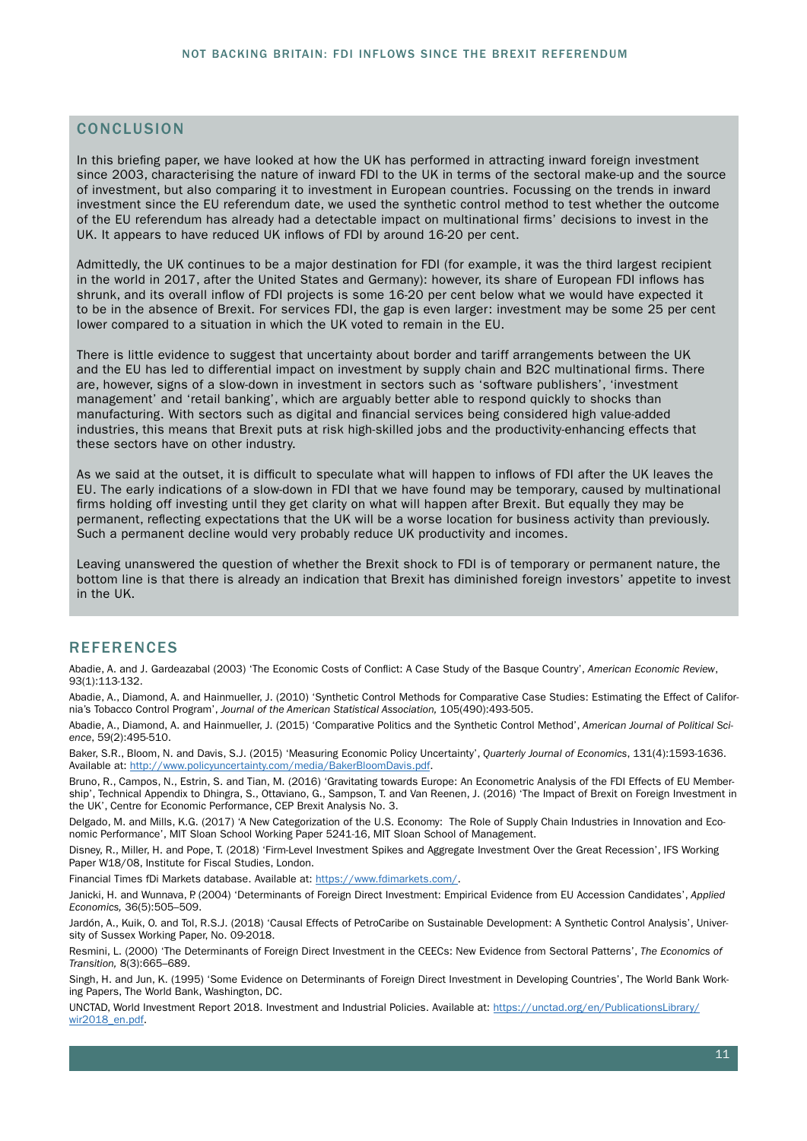#### **CONCLUSION**

In this briefing paper, we have looked at how the UK has performed in attracting inward foreign investment since 2003, characterising the nature of inward FDI to the UK in terms of the sectoral make-up and the source of investment, but also comparing it to investment in European countries. Focussing on the trends in inward investment since the EU referendum date, we used the synthetic control method to test whether the outcome of the EU referendum has already had a detectable impact on multinational firms' decisions to invest in the UK. It appears to have reduced UK inflows of FDI by around 16-20 per cent.

Admittedly, the UK continues to be a major destination for FDI (for example, it was the third largest recipient in the world in 2017, after the United States and Germany): however, its share of European FDI inflows has shrunk, and its overall inflow of FDI projects is some 16-20 per cent below what we would have expected it to be in the absence of Brexit. For services FDI, the gap is even larger: investment may be some 25 per cent lower compared to a situation in which the UK voted to remain in the EU.

There is little evidence to suggest that uncertainty about border and tariff arrangements between the UK and the EU has led to differential impact on investment by supply chain and B2C multinational firms. There are, however, signs of a slow-down in investment in sectors such as 'software publishers', 'investment management' and 'retail banking', which are arguably better able to respond quickly to shocks than manufacturing. With sectors such as digital and financial services being considered high value-added industries, this means that Brexit puts at risk high-skilled jobs and the productivity-enhancing effects that these sectors have on other industry.

As we said at the outset, it is difficult to speculate what will happen to inflows of FDI after the UK leaves the EU. The early indications of a slow-down in FDI that we have found may be temporary, caused by multinational firms holding off investing until they get clarity on what will happen after Brexit. But equally they may be permanent, reflecting expectations that the UK will be a worse location for business activity than previously. Such a permanent decline would very probably reduce UK productivity and incomes.

Leaving unanswered the question of whether the Brexit shock to FDI is of temporary or permanent nature, the bottom line is that there is already an indication that Brexit has diminished foreign investors' appetite to invest in the UK.

#### **REFERENCES**

Abadie, A. and J. Gardeazabal (2003) 'The Economic Costs of Conflict: A Case Study of the Basque Country', *American Economic Review*, 93(1):113-132.

Abadie, A., Diamond, A. and Hainmueller, J. (2010) 'Synthetic Control Methods for Comparative Case Studies: Estimating the Effect of California's Tobacco Control Program', *Journal of the American Statistical Association,* 105(490):493-505.

Abadie, A., Diamond, A. and Hainmueller, J. (2015) 'Comparative Politics and the Synthetic Control Method', *American Journal of Political Science*, 59(2):495-510.

Baker, S.R., Bloom, N. and Davis, S.J. (2015) 'Measuring Economic Policy Uncertainty', *Quarterly Journal of Economics*, 131(4):1593-1636. Available at: <http://www.policyuncertainty.com/media/BakerBloomDavis.pdf>.

Bruno, R., Campos, N., Estrin, S. and Tian, M. (2016) 'Gravitating towards Europe: An Econometric Analysis of the FDI Effects of EU Membership', Technical Appendix to Dhingra, S., Ottaviano, G., Sampson, T. and Van Reenen, J. (2016) 'The Impact of Brexit on Foreign Investment in the UK', Centre for Economic Performance, CEP Brexit Analysis No. 3.

Delgado, M. and Mills, K.G. (2017) 'A New Categorization of the U.S. Economy: The Role of Supply Chain Industries in Innovation and Economic Performance', MIT Sloan School Working Paper 5241-16, MIT Sloan School of Management.

Disney, R., Miller, H. and Pope, T. (2018) 'Firm-Level Investment Spikes and Aggregate Investment Over the Great Recession', IFS Working Paper W18/08, Institute for Fiscal Studies, London.

Financial Times fDi Markets database. Available at: [https://www.fdimarkets.com/.](https://www.fdimarkets.com/)

Janicki, H. and Wunnava, P. (2004) 'Determinants of Foreign Direct Investment: Empirical Evidence from EU Accession Candidates', *Applied Economics,* 36(5):505–509.

Jardón, A., Kuik, O. and Tol, R.S.J. (2018) 'Causal Effects of PetroCaribe on Sustainable Development: A Synthetic Control Analysis', University of Sussex Working Paper, No. 09-2018.

Resmini, L. (2000) 'The Determinants of Foreign Direct Investment in the CEECs: New Evidence from Sectoral Patterns', *The Economics of Transition,* 8(3):665–689.

Singh, H. and Jun, K. (1995) 'Some Evidence on Determinants of Foreign Direct Investment in Developing Countries', The World Bank Working Papers, The World Bank, Washington, DC.

UNCTAD, World Investment Report 2018. Investment and Industrial Policies. Available at: [https://unctad.org/en/PublicationsLibrary/](https://unctad.org/en/PublicationsLibrary/wir2018_en.pdf) [wir2018\\_en.pdf](https://unctad.org/en/PublicationsLibrary/wir2018_en.pdf).